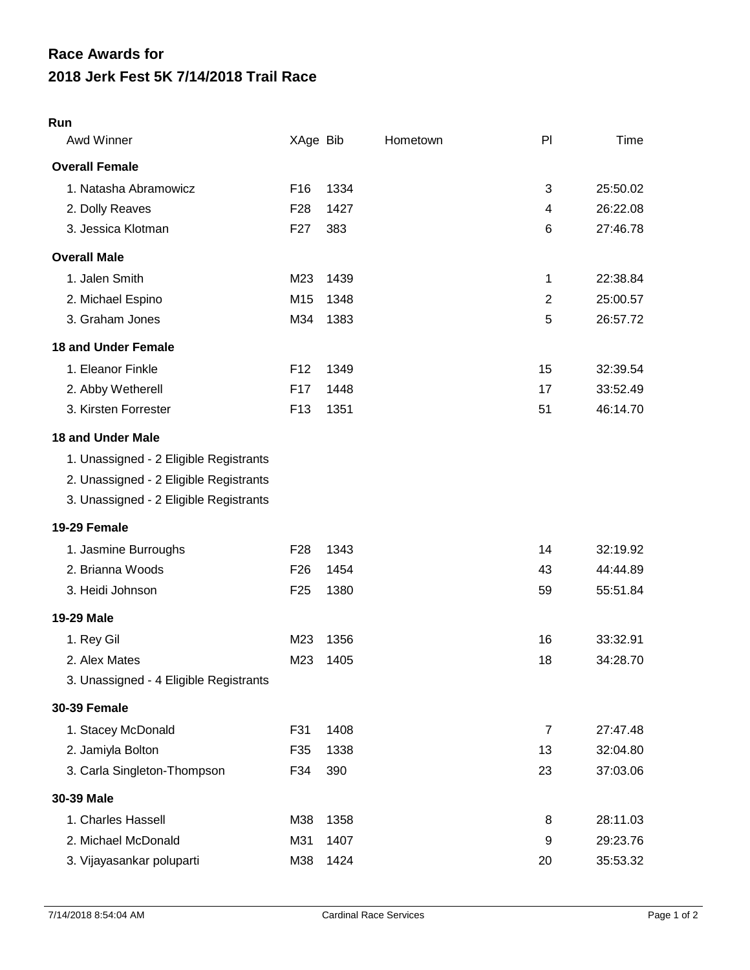## **2018 Jerk Fest 5K 7/14/2018 Trail Race Race Awards for**

## **Run**

| Awd Winner                             | XAge Bib        |      | Hometown | PI             | Time     |
|----------------------------------------|-----------------|------|----------|----------------|----------|
| <b>Overall Female</b>                  |                 |      |          |                |          |
| 1. Natasha Abramowicz                  | F <sub>16</sub> | 1334 |          | 3              | 25:50.02 |
| 2. Dolly Reaves                        | F <sub>28</sub> | 1427 |          | 4              | 26:22.08 |
| 3. Jessica Klotman                     | F <sub>27</sub> | 383  |          | 6              | 27:46.78 |
| <b>Overall Male</b>                    |                 |      |          |                |          |
| 1. Jalen Smith                         | M23             | 1439 |          | 1              | 22:38.84 |
| 2. Michael Espino                      | M15             | 1348 |          | $\overline{2}$ | 25:00.57 |
| 3. Graham Jones                        | M34             | 1383 |          | 5              | 26:57.72 |
| <b>18 and Under Female</b>             |                 |      |          |                |          |
| 1. Eleanor Finkle                      | F <sub>12</sub> | 1349 |          | 15             | 32:39.54 |
| 2. Abby Wetherell                      | F17             | 1448 |          | 17             | 33:52.49 |
| 3. Kirsten Forrester                   | F <sub>13</sub> | 1351 |          | 51             | 46:14.70 |
| <b>18 and Under Male</b>               |                 |      |          |                |          |
| 1. Unassigned - 2 Eligible Registrants |                 |      |          |                |          |
| 2. Unassigned - 2 Eligible Registrants |                 |      |          |                |          |
| 3. Unassigned - 2 Eligible Registrants |                 |      |          |                |          |
| 19-29 Female                           |                 |      |          |                |          |
| 1. Jasmine Burroughs                   | F <sub>28</sub> | 1343 |          | 14             | 32:19.92 |
| 2. Brianna Woods                       | F <sub>26</sub> | 1454 |          | 43             | 44:44.89 |
| 3. Heidi Johnson                       | F <sub>25</sub> | 1380 |          | 59             | 55:51.84 |
| 19-29 Male                             |                 |      |          |                |          |
| 1. Rey Gil                             | M23             | 1356 |          | 16             | 33:32.91 |
| 2. Alex Mates                          | M23             | 1405 |          | 18             | 34:28.70 |
| 3. Unassigned - 4 Eligible Registrants |                 |      |          |                |          |
| <b>30-39 Female</b>                    |                 |      |          |                |          |
| 1. Stacey McDonald                     | F31             | 1408 |          | $\overline{7}$ | 27:47.48 |
| 2. Jamiyla Bolton                      | F35             | 1338 |          | 13             | 32:04.80 |
| 3. Carla Singleton-Thompson            | F34             | 390  |          | 23             | 37:03.06 |
| 30-39 Male                             |                 |      |          |                |          |
| 1. Charles Hassell                     | M38             | 1358 |          | 8              | 28:11.03 |
| 2. Michael McDonald                    | M31             | 1407 |          | 9              | 29:23.76 |
| 3. Vijayasankar poluparti              | M38             | 1424 |          | 20             | 35:53.32 |